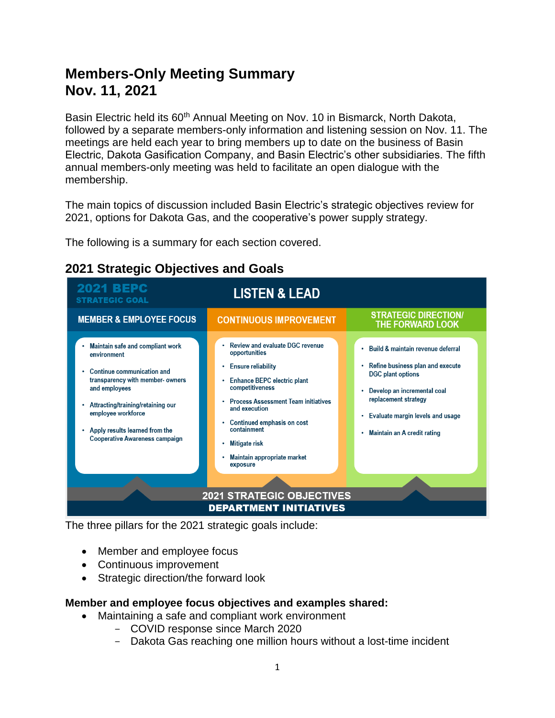# **Members-Only Meeting Summary Nov. 11, 2021**

Basin Electric held its 60<sup>th</sup> Annual Meeting on Nov. 10 in Bismarck, North Dakota, followed by a separate members-only information and listening session on Nov. 11. The meetings are held each year to bring members up to date on the business of Basin Electric, Dakota Gasification Company, and Basin Electric's other subsidiaries. The fifth annual members-only meeting was held to facilitate an open dialogue with the membership.

The main topics of discussion included Basin Electric's strategic objectives review for 2021, options for Dakota Gas, and the cooperative's power supply strategy.

The following is a summary for each section covered.

| <b>2021 BEPC</b><br><b>STRATEGIC GOAL</b>                                                                                                                                                                                                                                    | <b>LISTEN &amp; LEAD</b>                                                                                                                                                                                                                                                                                     |                                                                                                                                                                                                                                                                 |
|------------------------------------------------------------------------------------------------------------------------------------------------------------------------------------------------------------------------------------------------------------------------------|--------------------------------------------------------------------------------------------------------------------------------------------------------------------------------------------------------------------------------------------------------------------------------------------------------------|-----------------------------------------------------------------------------------------------------------------------------------------------------------------------------------------------------------------------------------------------------------------|
| <b>MEMBER &amp; EMPLOYEE FOCUS</b>                                                                                                                                                                                                                                           | <b>CONTINUOUS IMPROVEMENT</b>                                                                                                                                                                                                                                                                                | <b>STRATEGIC DIRECTION/</b><br>THE FORWARD LOOK                                                                                                                                                                                                                 |
| Maintain safe and compliant work<br>environment<br>Continue communication and<br>transparency with member-owners<br>and employees<br>Attracting/training/retaining our<br>employee workforce<br>Apply results learned from the<br>٠<br><b>Cooperative Awareness campaign</b> | Review and evaluate DGC revenue<br>opportunities<br><b>Ensure reliability</b><br>٠<br>Enhance BEPC electric plant<br>competitiveness<br><b>Process Assessment Team initiatives</b><br>and execution<br>Continued emphasis on cost<br>containment<br>Mitigate risk<br>Maintain appropriate market<br>exposure | Build & maintain revenue deferral<br>Refine business plan and execute<br>$\bullet$<br><b>DGC</b> plant options<br>Develop an incremental coal<br>٠<br>replacement strategy<br>Evaluate margin levels and usage<br>$\bullet$<br>Maintain an A credit rating<br>٠ |
| <b>2021 STRATEGIC OBJECTIVES</b>                                                                                                                                                                                                                                             |                                                                                                                                                                                                                                                                                                              |                                                                                                                                                                                                                                                                 |
| <b>DEPARTMENT INITIATIVES</b>                                                                                                                                                                                                                                                |                                                                                                                                                                                                                                                                                                              |                                                                                                                                                                                                                                                                 |

## **2021 Strategic Objectives and Goals**

The three pillars for the 2021 strategic goals include:

- Member and employee focus
- Continuous improvement
- Strategic direction/the forward look

#### **Member and employee focus objectives and examples shared:**

- Maintaining a safe and compliant work environment
	- COVID response since March 2020
	- Dakota Gas reaching one million hours without a lost-time incident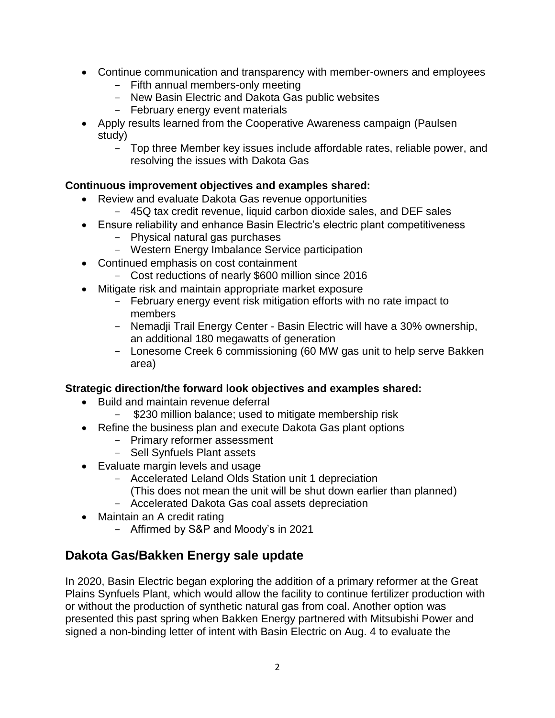- Continue communication and transparency with member-owners and employees
	- Fifth annual members-only meeting
	- New Basin Electric and Dakota Gas public websites
	- February energy event materials
- Apply results learned from the Cooperative Awareness campaign (Paulsen study)
	- Top three Member key issues include affordable rates, reliable power, and resolving the issues with Dakota Gas

### **Continuous improvement objectives and examples shared:**

- Review and evaluate Dakota Gas revenue opportunities
	- 45Q tax credit revenue, liquid carbon dioxide sales, and DEF sales
- Ensure reliability and enhance Basin Electric's electric plant competitiveness
	- Physical natural gas purchases
	- Western Energy Imbalance Service participation
- Continued emphasis on cost containment
	- Cost reductions of nearly \$600 million since 2016
- Mitigate risk and maintain appropriate market exposure
	- February energy event risk mitigation efforts with no rate impact to members
	- Nemadji Trail Energy Center Basin Electric will have a 30% ownership, an additional 180 megawatts of generation
	- Lonesome Creek 6 commissioning (60 MW gas unit to help serve Bakken area)

#### **Strategic direction/the forward look objectives and examples shared:**

- Build and maintain revenue deferral
	- \$230 million balance; used to mitigate membership risk
- Refine the business plan and execute Dakota Gas plant options
	- Primary reformer assessment
	- Sell Synfuels Plant assets
- Evaluate margin levels and usage
	- Accelerated Leland Olds Station unit 1 depreciation
	- (This does not mean the unit will be shut down earlier than planned)
	- Accelerated Dakota Gas coal assets depreciation
- Maintain an A credit rating
	- Affirmed by S&P and Moody's in 2021

## **Dakota Gas/Bakken Energy sale update**

In 2020, Basin Electric began exploring the addition of a primary reformer at the Great Plains Synfuels Plant, which would allow the facility to continue fertilizer production with or without the production of synthetic natural gas from coal. Another option was presented this past spring when Bakken Energy partnered with Mitsubishi Power and signed a non-binding letter of intent with Basin Electric on Aug. 4 to evaluate the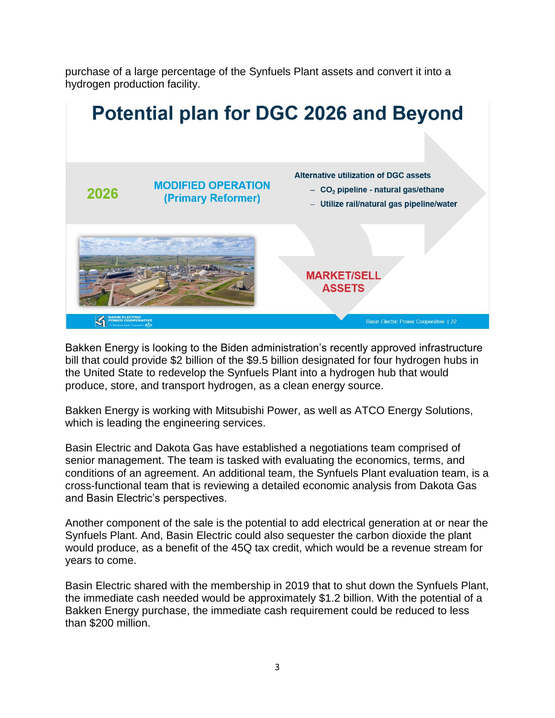purchase of a large percentage of the Synfuels Plant assets and convert it into a hydrogen production facility.



Bakken Energy is looking to the Biden administration's recently approved infrastructure bill that could provide \$2 billion of the \$9.5 billion designated for four hydrogen hubs in the United State to redevelop the Synfuels Plant into a hydrogen hub that would produce, store, and transport hydrogen, as a clean energy source.

Bakken Energy is working with Mitsubishi Power, as well as ATCO Energy Solutions, which is leading the engineering services.

Basin Electric and Dakota Gas have established a negotiations team comprised of senior management. The team is tasked with evaluating the economics, terms, and conditions of an agreement. An additional team, the Synfuels Plant evaluation team, is a cross-functional team that is reviewing a detailed economic analysis from Dakota Gas and Basin Electric's perspectives.

Another component of the sale is the potential to add electrical generation at or near the Synfuels Plant. And, Basin Electric could also sequester the carbon dioxide the plant would produce, as a benefit of the 45Q tax credit, which would be a revenue stream for years to come.

Basin Electric shared with the membership in 2019 that to shut down the Synfuels Plant, the immediate cash needed would be approximately \$1.2 billion. With the potential of a Bakken Energy purchase, the immediate cash requirement could be reduced to less than \$200 million.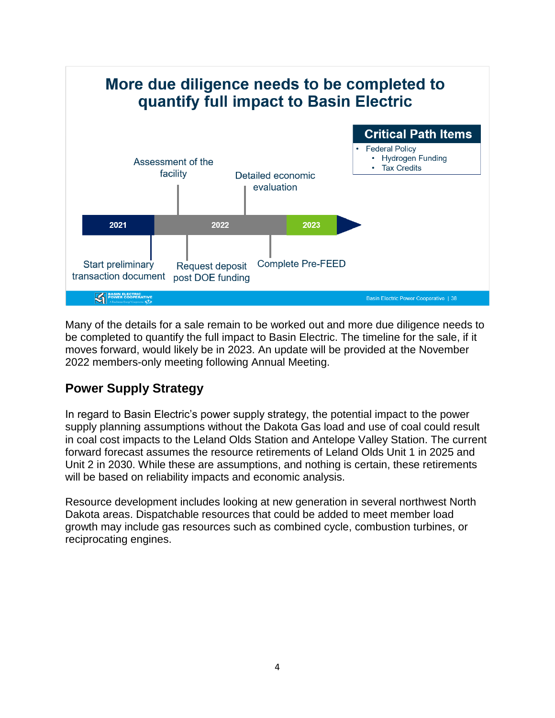

Many of the details for a sale remain to be worked out and more due diligence needs to be completed to quantify the full impact to Basin Electric. The timeline for the sale, if it moves forward, would likely be in 2023. An update will be provided at the November 2022 members-only meeting following Annual Meeting.

## **Power Supply Strategy**

In regard to Basin Electric's power supply strategy, the potential impact to the power supply planning assumptions without the Dakota Gas load and use of coal could result in coal cost impacts to the Leland Olds Station and Antelope Valley Station. The current forward forecast assumes the resource retirements of Leland Olds Unit 1 in 2025 and Unit 2 in 2030. While these are assumptions, and nothing is certain, these retirements will be based on reliability impacts and economic analysis.

Resource development includes looking at new generation in several northwest North Dakota areas. Dispatchable resources that could be added to meet member load growth may include gas resources such as combined cycle, combustion turbines, or reciprocating engines.